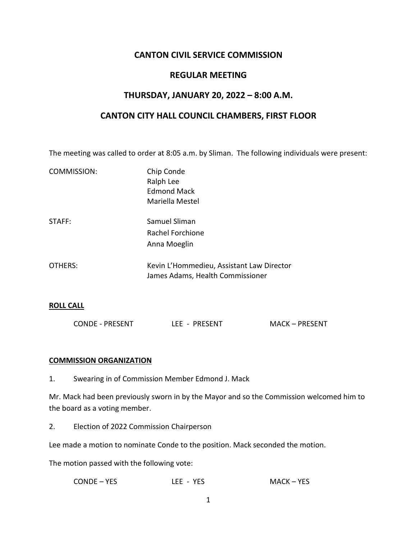# **CANTON CIVIL SERVICE COMMISSION**

### **REGULAR MEETING**

## **THURSDAY, JANUARY 20, 2022 – 8:00 A.M.**

### **CANTON CITY HALL COUNCIL CHAMBERS, FIRST FLOOR**

The meeting was called to order at 8:05 a.m. by Sliman. The following individuals were present:

| COMMISSION: | Chip Conde<br>Ralph Lee<br><b>Edmond Mack</b><br>Mariella Mestel              |
|-------------|-------------------------------------------------------------------------------|
| STAFF:      | Samuel Sliman<br>Rachel Forchione<br>Anna Moeglin                             |
| OTHERS:     | Kevin L'Hommedieu, Assistant Law Director<br>James Adams, Health Commissioner |

#### **ROLL CALL**

| <b>CONDE - PRESENT</b> | LEE - PRESENT | <b>MACK-PRESENT</b> |
|------------------------|---------------|---------------------|
|                        |               |                     |

#### **COMMISSION ORGANIZATION**

1. Swearing in of Commission Member Edmond J. Mack

Mr. Mack had been previously sworn in by the Mayor and so the Commission welcomed him to the board as a voting member.

2. Election of 2022 Commission Chairperson

Lee made a motion to nominate Conde to the position. Mack seconded the motion.

The motion passed with the following vote:

| CONDE – YES | LEE - YES | MACK – YES |
|-------------|-----------|------------|
|-------------|-----------|------------|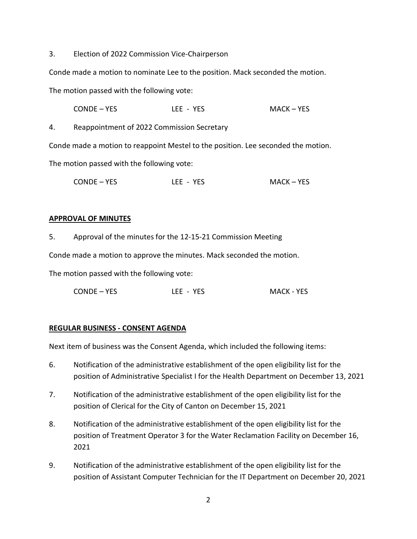3. Election of 2022 Commission Vice-Chairperson

Conde made a motion to nominate Lee to the position. Mack seconded the motion.

The motion passed with the following vote:

CONDE – YES LEE - YES MACK – YES

4. Reappointment of 2022 Commission Secretary

Conde made a motion to reappoint Mestel to the position. Lee seconded the motion.

The motion passed with the following vote:

CONDE – YES LEE - YES MACK – YES

#### **APPROVAL OF MINUTES**

5. Approval of the minutes for the 12-15-21 Commission Meeting

Conde made a motion to approve the minutes. Mack seconded the motion.

The motion passed with the following vote:

CONDE – YES LEE - YES MACK - YES

#### **REGULAR BUSINESS - CONSENT AGENDA**

Next item of business was the Consent Agenda, which included the following items:

- 6. Notification of the administrative establishment of the open eligibility list for the position of Administrative Specialist I for the Health Department on December 13, 2021
- 7. Notification of the administrative establishment of the open eligibility list for the position of Clerical for the City of Canton on December 15, 2021
- 8. Notification of the administrative establishment of the open eligibility list for the position of Treatment Operator 3 for the Water Reclamation Facility on December 16, 2021
- 9. Notification of the administrative establishment of the open eligibility list for the position of Assistant Computer Technician for the IT Department on December 20, 2021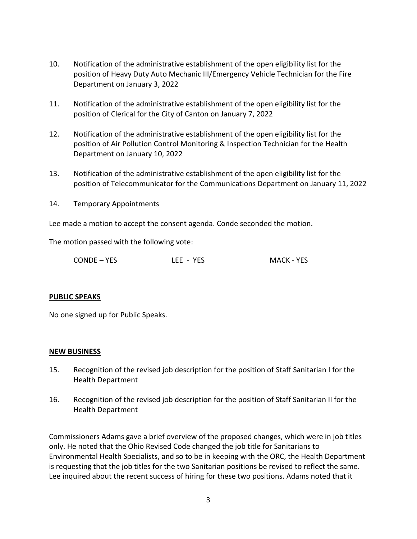- 10. Notification of the administrative establishment of the open eligibility list for the position of Heavy Duty Auto Mechanic III/Emergency Vehicle Technician for the Fire Department on January 3, 2022
- 11. Notification of the administrative establishment of the open eligibility list for the position of Clerical for the City of Canton on January 7, 2022
- 12. Notification of the administrative establishment of the open eligibility list for the position of Air Pollution Control Monitoring & Inspection Technician for the Health Department on January 10, 2022
- 13. Notification of the administrative establishment of the open eligibility list for the position of Telecommunicator for the Communications Department on January 11, 2022
- 14. Temporary Appointments

Lee made a motion to accept the consent agenda. Conde seconded the motion.

The motion passed with the following vote:

| <b>MACK - YES</b><br>CONDE – YES<br>LEE - YES |  |
|-----------------------------------------------|--|
|-----------------------------------------------|--|

#### **PUBLIC SPEAKS**

No one signed up for Public Speaks.

#### **NEW BUSINESS**

- 15. Recognition of the revised job description for the position of Staff Sanitarian I for the Health Department
- 16. Recognition of the revised job description for the position of Staff Sanitarian II for the Health Department

Commissioners Adams gave a brief overview of the proposed changes, which were in job titles only. He noted that the Ohio Revised Code changed the job title for Sanitarians to Environmental Health Specialists, and so to be in keeping with the ORC, the Health Department is requesting that the job titles for the two Sanitarian positions be revised to reflect the same. Lee inquired about the recent success of hiring for these two positions. Adams noted that it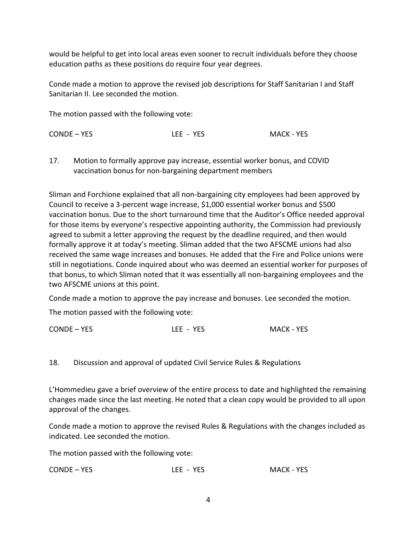would be helpful to get into local areas even sooner to recruit individuals before they choose education paths as these positions do require four year degrees.

Conde made a motion to approve the revised job descriptions for Staff Sanitarian I and Staff Sanitarian II. Lee seconded the motion.

The motion passed with the following vote:

17. Motion to formally approve pay increase, essential worker bonus, and COVID vaccination bonus for non-bargaining department members

Sliman and Forchione explained that all non-bargaining city employees had been approved by Council to receive a 3-percent wage increase, \$1,000 essential worker bonus and \$500 vaccination bonus. Due to the short turnaround time that the Auditor's Office needed approval for those items by everyone's respective appointing authority, the Commission had previously agreed to submit a letter approving the request by the deadline required, and then would formally approve it at today's meeting. Sliman added that the two AFSCME unions had also received the same wage increases and bonuses. He added that the Fire and Police unions were still in negotiations. Conde inquired about who was deemed an essential worker for purposes of that bonus, to which Sliman noted that it was essentially all non-bargaining employees and the two AFSCME unions at this point.

Conde made a motion to approve the pay increase and bonuses. Lee seconded the motion.

The motion passed with the following vote:

| CONDE - YES | LEE - YES | <b>MACK - YES</b> |
|-------------|-----------|-------------------|
|-------------|-----------|-------------------|

### 18. Discussion and approval of updated Civil Service Rules & Regulations

L'Hommedieu gave a brief overview of the entire process to date and highlighted the remaining changes made since the last meeting. He noted that a clean copy would be provided to all upon approval of the changes.

Conde made a motion to approve the revised Rules & Regulations with the changes included as indicated. Lee seconded the motion.

The motion passed with the following vote:

| CONDE - YES<br><b>MACK - YES</b><br>LEE - YES |  |
|-----------------------------------------------|--|
|-----------------------------------------------|--|